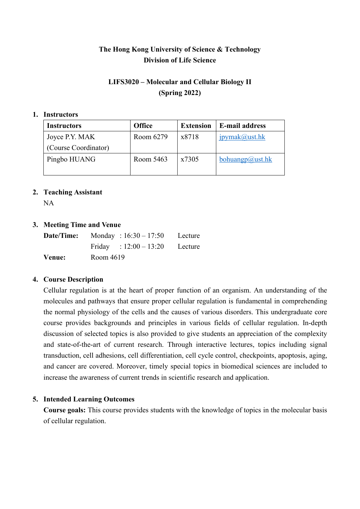# **The Hong Kong University of Science & Technology Division of Life Science**

# **LIFS3020 – Molecular and Cellular Biology II (Spring 2022)**

#### **1. Instructors**

| Instructors          | <b>Office</b> | <b>Extension</b> | <b>E-mail address</b> |
|----------------------|---------------|------------------|-----------------------|
| Joyce P.Y. MAK       | Room 6279     | x8718            | ipymak@ust.hk         |
| (Course Coordinator) |               |                  |                       |
| Pingbo HUANG         | Room 5463     | x7305            | bohuangp@ust.hk       |
|                      |               |                  |                       |

## **2. Teaching Assistant**

NA

## **3. Meeting Time and Venue**

|        | <b>Date/Time:</b> Monday : $16:30 - 17:50$ Lecture |  |
|--------|----------------------------------------------------|--|
|        | Friday : $12:00-13:20$ Lecture                     |  |
| Venue: | Room 4619                                          |  |

## **4. Course Description**

Cellular regulation is at the heart of proper function of an organism. An understanding of the molecules and pathways that ensure proper cellular regulation is fundamental in comprehending the normal physiology of the cells and the causes of various disorders. This undergraduate core course provides backgrounds and principles in various fields of cellular regulation. In-depth discussion of selected topics is also provided to give students an appreciation of the complexity and state-of-the-art of current research. Through interactive lectures, topics including signal transduction, cell adhesions, cell differentiation, cell cycle control, checkpoints, apoptosis, aging, and cancer are covered. Moreover, timely special topics in biomedical sciences are included to increase the awareness of current trends in scientific research and application.

# **5. Intended Learning Outcomes**

**Course goals:** This course provides students with the knowledge of topics in the molecular basis of cellular regulation.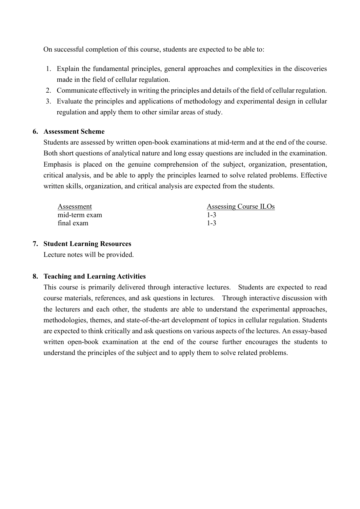On successful completion of this course, students are expected to be able to:

- 1. Explain the fundamental principles, general approaches and complexities in the discoveries made in the field of cellular regulation.
- 2. Communicate effectively in writing the principles and details of the field of cellular regulation.
- 3. Evaluate the principles and applications of methodology and experimental design in cellular regulation and apply them to other similar areas of study.

## **6. Assessment Scheme**

Students are assessed by written open-book examinations at mid-term and at the end of the course. Both short questions of analytical nature and long essay questions are included in the examination. Emphasis is placed on the genuine comprehension of the subject, organization, presentation, critical analysis, and be able to apply the principles learned to solve related problems. Effective written skills, organization, and critical analysis are expected from the students.

| Assessment    | Assessing Course ILOs |
|---------------|-----------------------|
| mid-term exam | $1 - 3$               |
| final exam    | $1 - 3$               |

## **7. Student Learning Resources**

Lecture notes will be provided.

# **8. Teaching and Learning Activities**

This course is primarily delivered through interactive lectures. Students are expected to read course materials, references, and ask questions in lectures. Through interactive discussion with the lecturers and each other, the students are able to understand the experimental approaches, methodologies, themes, and state-of-the-art development of topics in cellular regulation. Students are expected to think critically and ask questions on various aspects of the lectures. An essay-based written open-book examination at the end of the course further encourages the students to understand the principles of the subject and to apply them to solve related problems.